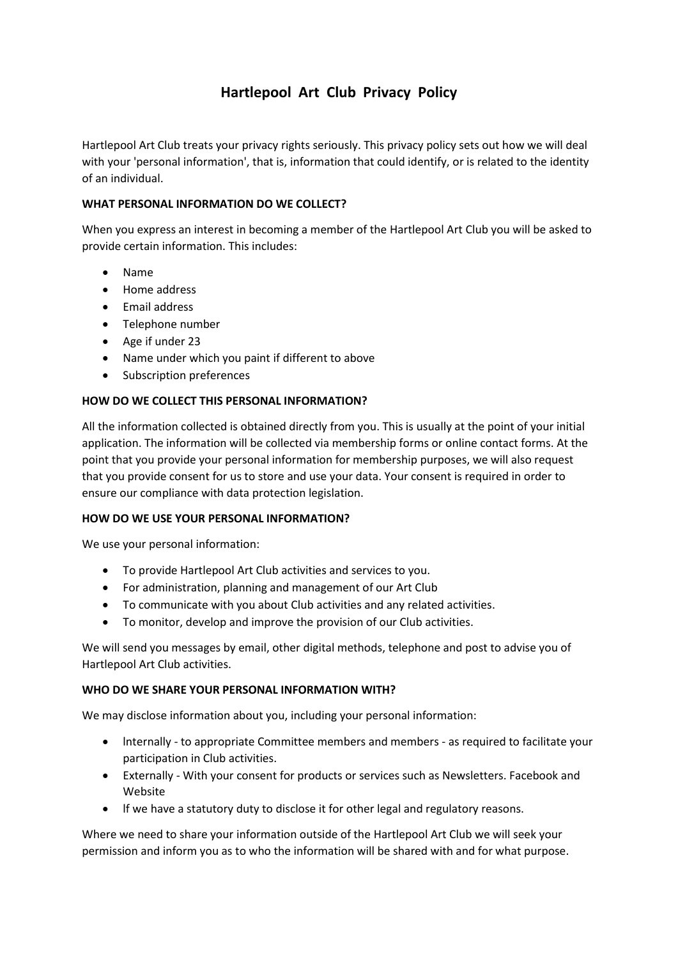# **Hartlepool Art Club Privacy Policy**

Hartlepool Art Club treats your privacy rights seriously. This privacy policy sets out how we will deal with your 'personal information', that is, information that could identify, or is related to the identity of an individual.

# **WHAT PERSONAL INFORMATION DO WE COLLECT?**

When you express an interest in becoming a member of the Hartlepool Art Club you will be asked to provide certain information. This includes:

- Name
- Home address
- Email address
- Telephone number
- Age if under 23
- Name under which you paint if different to above
- Subscription preferences

# **HOW DO WE COLLECT THIS PERSONAL INFORMATION?**

All the information collected is obtained directly from you. This is usually at the point of your initial application. The information will be collected via membership forms or online contact forms. At the point that you provide your personal information for membership purposes, we will also request that you provide consent for us to store and use your data. Your consent is required in order to ensure our compliance with data protection legislation.

# **HOW DO WE USE YOUR PERSONAL INFORMATION?**

We use your personal information:

- To provide Hartlepool Art Club activities and services to you.
- For administration, planning and management of our Art Club
- To communicate with you about Club activities and any related activities.
- To monitor, develop and improve the provision of our Club activities.

We will send you messages by email, other digital methods, telephone and post to advise you of Hartlepool Art Club activities.

#### **WHO DO WE SHARE YOUR PERSONAL INFORMATION WITH?**

We may disclose information about you, including your personal information:

- lnternally to appropriate Committee members and members as required to facilitate your participation in Club activities.
- Externally With your consent for products or services such as Newsletters. Facebook and Website
- lf we have a statutory duty to disclose it for other legal and regulatory reasons.

Where we need to share your information outside of the Hartlepool Art Club we will seek your permission and inform you as to who the information will be shared with and for what purpose.